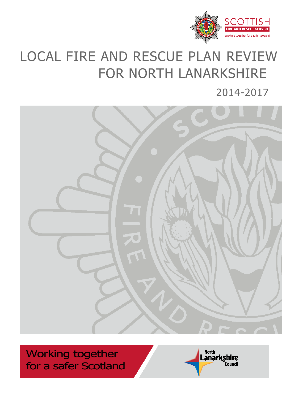

# LOCAL FIRE AND RESCUE PLAN REVIEW FOR NORTH LANARKSHIRE

2014-2017



Working together for a safer Scotland

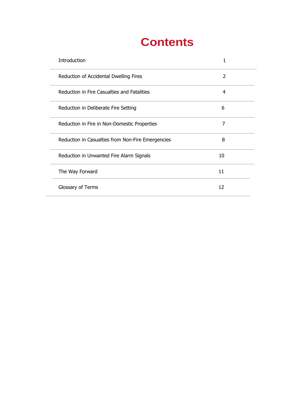## **Contents**

| Introduction                                      |    |
|---------------------------------------------------|----|
| Reduction of Accidental Dwelling Fires            |    |
| Reduction in Fire Casualties and Fatalities       |    |
| Reduction in Deliberate Fire Setting              | h  |
| Reduction in Fire in Non-Domestic Properties      |    |
| Reduction in Casualties from Non-Fire Emergencies | 8  |
| Reduction in Unwanted Fire Alarm Signals          | 10 |
| The Way Forward                                   | 11 |
| Glossary of Terms                                 | 12 |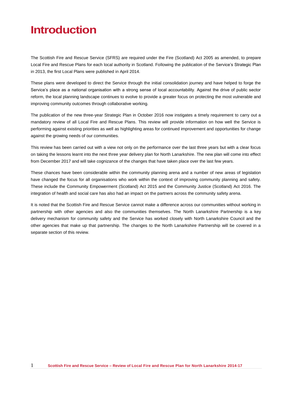### **Introduction**

The Scottish Fire and Rescue Service (SFRS) are required under the Fire (Scotland) Act 2005 as amended, to prepare Local Fire and Rescue Plans for each local authority in Scotland. Following the publication of the Service's Strategic Plan in 2013, the first Local Plans were published in April 2014.

These plans were developed to direct the Service through the initial consolidation journey and have helped to forge the Service's place as a national organisation with a strong sense of local accountability. Against the drive of public sector reform, the local planning landscape continues to evolve to provide a greater focus on protecting the most vulnerable and improving community outcomes through collaborative working.

The publication of the new three-year Strategic Plan in October 2016 now instigates a timely requirement to carry out a mandatory review of all Local Fire and Rescue Plans. This review will provide information on how well the Service is performing against existing priorities as well as highlighting areas for continued improvement and opportunities for change against the growing needs of our communities.

This review has been carried out with a view not only on the performance over the last three years but with a clear focus on taking the lessons learnt into the next three year delivery plan for North Lanarkshire. The new plan will come into effect from December 2017 and will take cognizance of the changes that have taken place over the last few years.

These chances have been considerable within the community planning arena and a number of new areas of legislation have changed the focus for all organisations who work within the context of improving community planning and safety. These include the Community Empowerment (Scotland) Act 2015 and the Community Justice (Scotland) Act 2016. The integration of health and social care has also had an impact on the partners across the community safety arena.

It is noted that the Scottish Fire and Rescue Service cannot make a difference across our communities without working in partnership with other agencies and also the communities themselves. The North Lanarkshire Partnership is a key delivery mechanism for community safety and the Service has worked closely with North Lanarkshire Council and the other agencies that make up that partnership. The changes to the North Lanarkshire Partnership will be covered in a separate section of this review.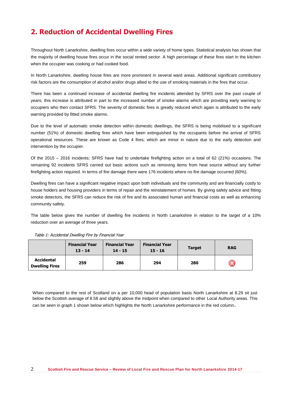### **2. Reduction of Accidental Dwelling Fires**

Throughout North Lanarkshire, dwelling fires occur within a wide variety of home types. Statistical analysis has shown that the majority of dwelling house fires occur in the social rented sector. A high percentage of these fires start in the kitchen when the occupier was cooking or had cooked food.

In North Lanarkshire, dwelling house fires are more prominent in several ward areas. Additional significant contributory risk factors are the consumption of alcohol and/or drugs allied to the use of smoking materials in the fires that occur.

There has been a continued increase of accidental dwelling fire incidents attended by SFRS over the past couple of years; this increase is attributed in part to the increased number of smoke alarms which are providing early warning to occupiers who then contact SFRS. The severity of domestic fires is greatly reduced which again is attributed to the early warning provided by fitted smoke alarms.

Due to the level of automatic smoke detection within domestic dwellings, the SFRS is being mobilised to a significant number (51%) of domestic dwelling fires which have been extinguished by the occupants before the arrival of SFRS operational resources. These are known as Code 4 fires; which are minor in nature due to the early detection and intervention by the occupier.

Of the 2015 – 2016 incidents; SFRS have had to undertake firefighting action on a total of 62 (21%) occasions. The remaining 92 incidents SFRS carried out basic actions such as removing items from heat source without any further firefighting action required. In terms of fire damage there were 176 incidents where no fire damage occurred (60%).

Dwelling fires can have a significant negative impact upon both individuals and the community and are financially costly to house holders and housing providers in terms of repair and the reinstatement of homes. By giving safety advice and fitting smoke detectors, the SFRS can reduce the risk of fire and its associated human and financial costs as well as enhancing community safety.

The table below gives the number of dwelling fire incidents in North Lanarkshire in relation to the target of a 10% reduction over an average of three years.

|                                            | <b>Financial Year</b><br>$13 - 14$ | <b>Financial Year</b><br>$14 - 15$ | <b>Financial Year</b><br>$15 - 16$ | <b>Target</b> | <b>RAG</b> |
|--------------------------------------------|------------------------------------|------------------------------------|------------------------------------|---------------|------------|
| <b>Accidental</b><br><b>Dwelling Fires</b> | 259                                | 286                                | 294                                | 280           |            |

Table 1: Accidental Dwelling Fire by Financial Year

When compared to the rest of Scotland on a per 10,000 head of population basis North Lanarkshire at 8.29 sit just below the Scottish average of 8.58 and slightly above the midpoint when compared to other Local Authority areas. This can be seen in graph 1 shown below which highlights the North Lanarkshire performance in the red column.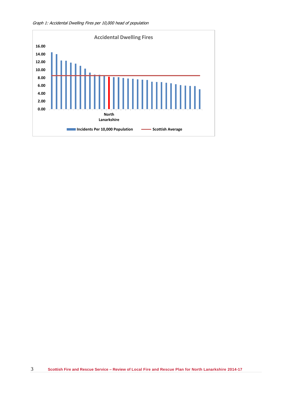

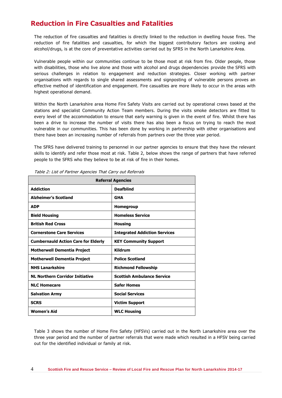#### **Reduction in Fire Casualties and Fatalities**

The reduction of fire casualties and fatalities is directly linked to the reduction in dwelling house fires. The reduction of fire fatalities and casualties, for which the biggest contributory factors are cooking and alcohol/drugs, is at the core of preventative activities carried out by SFRS in the North Lanarkshire Area.

Vulnerable people within our communities continue to be those most at risk from fire. Older people, those with disabilities, those who live alone and those with alcohol and drugs dependencies provide the SFRS with serious challenges in relation to engagement and reduction strategies. Closer working with partner organisations with regards to single shared assessments and signposting of vulnerable persons proves an effective method of identification and engagement. Fire casualties are more likely to occur in the areas with highest operational demand.

Within the North Lanarkshire area Home Fire Safety Visits are carried out by operational crews based at the stations and specialist Community Action Team members. During the visits smoke detectors are fitted to every level of the accommodation to ensure that early warning is given in the event of fire. Whilst there has been a drive to increase the number of visits there has also been a focus on trying to reach the most vulnerable in our communities. This has been done by working in partnership with other organisations and there have been an increasing number of referrals from partners over the three year period.

The SFRS have delivered training to personnel in our partner agencies to ensure that they have the relevant skills to identify and refer those most at risk. Table 2, below shows the range of partners that have referred people to the SFRS who they believe to be at risk of fire in their homes.

| <b>Referral Agencies</b>                   |                                      |  |
|--------------------------------------------|--------------------------------------|--|
| <b>Addiction</b>                           | <b>Deafblind</b>                     |  |
| <b>Alzheimer's Scotland</b>                | <b>GHA</b>                           |  |
| <b>ADP</b>                                 | <b>Homegroup</b>                     |  |
| <b>Bield Housing</b>                       | <b>Homeless Service</b>              |  |
| <b>British Red Cross</b>                   | <b>Housing</b>                       |  |
| <b>Cornerstone Care Services</b>           | <b>Integrated Addiction Services</b> |  |
| <b>Cumbernauld Action Care for Elderly</b> | <b>KEY Community Support</b>         |  |
| <b>Motherwell Dementia Project</b>         | Kildrum                              |  |
| <b>Motherwell Dementia Project</b>         | <b>Police Scotland</b>               |  |
| <b>NHS Lanarkshire</b>                     | <b>Richmond Fellowship</b>           |  |
| <b>NL Northern Corridor Initiative</b>     | <b>Scottish Ambulance Service</b>    |  |
| <b>NLC Homecare</b>                        | <b>Safer Homes</b>                   |  |
| <b>Salvation Army</b>                      | <b>Social Services</b>               |  |
| <b>SCRS</b>                                | <b>Victim Support</b>                |  |
| <b>Women's Aid</b>                         | <b>WLC Housing</b>                   |  |

Table 2: List of Partner Agencies That Carry out Referrals

Table 3 shows the number of Home Fire Safety (HFSVs) carried out in the North Lanarkshire area over the three year period and the number of partner referrals that were made which resulted in a HFSV being carried out for the identified individual or family at risk.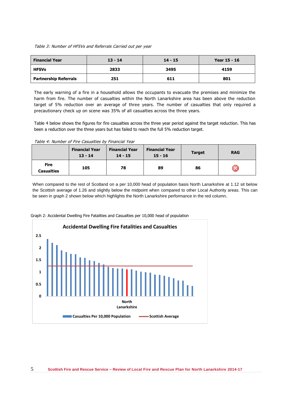#### Table 3: Number of HFSVs and Referrals Carried out per year

| <b>Financial Year</b>        | $13 - 14$ | $14 - 15$ | Year 15 - 16 |
|------------------------------|-----------|-----------|--------------|
| <b>HFSVs</b>                 | 2833      | 3495      | 4159         |
| <b>Partnership Referrals</b> | 251       | 611       | 801          |

The early warning of a fire in a household allows the occupants to evacuate the premises and minimize the harm from fire. The number of casualties within the North Lanarkshire area has been above the reduction target of 5% reduction over an average of three years. The number of casualties that only required a precautionary check up on scene was 35% of all casualties across the three years.

Table 4 below shows the figures for fire casualties across the three year period against the target reduction. This has been a reduction over the three years but has failed to reach the full 5% reduction target.

Table 4: Number of Fire Casualties by Financial Year

|                                  | <b>Financial Year</b><br>$13 - 14$ | <b>Financial Year</b><br>$14 - 15$ | <b>Financial Year</b><br>$15 - 16$ | <b>Target</b> | <b>RAG</b> |
|----------------------------------|------------------------------------|------------------------------------|------------------------------------|---------------|------------|
| <b>Fire</b><br><b>Casualties</b> | 105                                | 78                                 | 89                                 | 86            |            |

When compared to the rest of Scotland on a per 10,000 head of population basis North Lanarkshire at 1.12 sit below the Scottish average of 1.26 and slightly below the midpoint when compared to other Local Authority areas. This can be seen in graph 2 shown below which highlights the North Lanarkshire performance in the red column.



Graph 2: Accidental Dwelling Fire Fatalities and Casualties per 10,000 head of population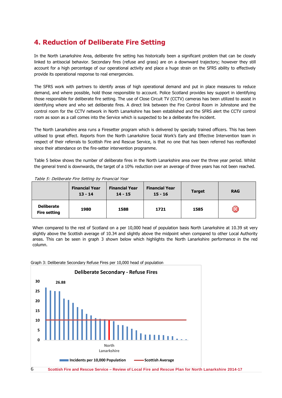#### **4. Reduction of Deliberate Fire Setting**

In the North Lanarkshire Area, deliberate fire setting has historically been a significant problem that can be closely linked to antisocial behavior. Secondary fires (refuse and grass) are on a downward trajectory; however they still account for a high percentage of our operational activity and place a huge strain on the SFRS ability to effectively provide its operational response to real emergencies.

The SFRS work with partners to identify areas of high operational demand and put in place measures to reduce demand, and where possible, hold those responsible to account. Police Scotland provides key support in identifying those responsible for deliberate fire setting. The use of Close Circuit TV (CCTV) cameras has been utilized to assist in identifying where and who set deliberate fires. A direct link between the Fire Control Room in Johnstone and the control room for the CCTV network in North Lanarkshire has been established and the SFRS alert the CCTV control room as soon as a call comes into the Service which is suspected to be a deliberate fire incident.

The North Lanarkshire area runs a Firesetter program which is delivered by specially trained officers. This has been utilised to great effect. Reports from the North Lanarkshire Social Work's Early and Effective Intervention team in respect of their referrals to Scottish Fire and Rescue Service, is that no one that has been referred has reoffended since their attendance on the fire-setter intervention programme.

Table 5 below shows the number of deliberate fires in the North Lanarkshire area over the three year period. Whilst the general trend is downwards, the target of a 10% reduction over an average of three years has not been reached.

| Table 5: Demberate The Setting by Thiancial Team | <b>Financial Year</b><br>$13 - 14$ | <b>Financial Year</b><br>$14 - 15$ | <b>Financial Year</b><br>$15 - 16$ | <b>Target</b> | <b>RAG</b> |
|--------------------------------------------------|------------------------------------|------------------------------------|------------------------------------|---------------|------------|
| <b>Deliberate</b><br><b>Fire setting</b>         | 1980                               | 1588                               | 1721                               | 1585          |            |

Table 5: Deliberate Fire Setting by Financial Year

When compared to the rest of Scotland on a per 10,000 head of population basis North Lanarkshire at 10.39 sit very slightly above the Scottish average of 10.34 and slightly above the midpoint when compared to other Local Authority areas. This can be seen in graph 3 shown below which highlights the North Lanarkshire performance in the red column.

Graph 3: Deliberate Secondary Refuse Fires per 10,000 head of population

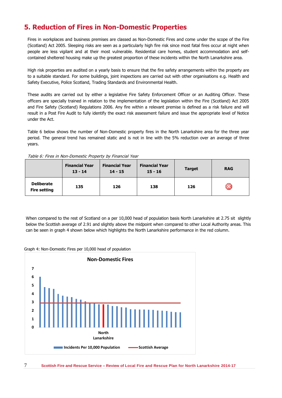#### **5. Reduction of Fires in Non-Domestic Properties**

Fires in workplaces and business premises are classed as Non-Domestic Fires and come under the scope of the Fire (Scotland) Act 2005. Sleeping risks are seen as a particularly high fire risk since most fatal fires occur at night when people are less vigilant and at their most vulnerable. Residential care homes, student accommodation and selfcontained sheltered housing make up the greatest proportion of these incidents within the North Lanarkshire area.

High risk properties are audited on a yearly basis to ensure that the fire safety arrangements within the property are to a suitable standard. For some buildings, joint inspections are carried out with other organisations e.g. Health and Safety Executive, Police Scotland, Trading Standards and Environmental Health.

These audits are carried out by either a legislative Fire Safety Enforcement Officer or an Auditing Officer. These officers are specially trained in relation to the implementation of the legislation within the Fire (Scotland) Act 2005 and Fire Safety (Scotland) Regulations 2006. Any fire within a relevant premise is defined as a risk failure and will result in a Post Fire Audit to fully identify the exact risk assessment failure and issue the appropriate level of Notice under the Act.

Table 6 below shows the number of Non-Domestic property fires in the North Lanarkshire area for the three year period. The general trend has remained static and is not in line with the 5% reduction over an average of three years.

|                                          | <b>Financial Year</b><br>$13 - 14$ | <b>Financial Year</b><br>$14 - 15$ | <b>Financial Year</b><br>$15 - 16$ | <b>Target</b> | <b>RAG</b> |
|------------------------------------------|------------------------------------|------------------------------------|------------------------------------|---------------|------------|
| <b>Deliberate</b><br><b>Fire setting</b> | 135                                | 126                                | 138                                | 126           |            |

Table 6: Fires in Non-Domestic Property by Financial Year

When compared to the rest of Scotland on a per 10,000 head of population basis North Lanarkshire at 2.75 sit slightly below the Scottish average of 2.91 and slightly above the midpoint when compared to other Local Authority areas. This can be seen in graph 4 shown below which highlights the North Lanarkshire performance in the red column.

#### Graph 4: Non-Domestic Fires per 10,000 head of population

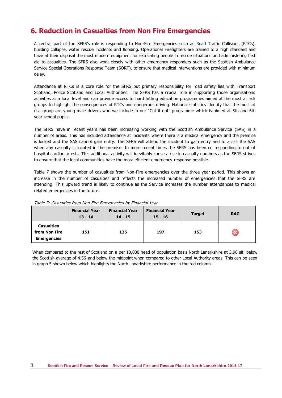#### **6. Reduction in Casualties from Non Fire Emergencies**

A central part of the SFRS's role is responding to Non-Fire Emergencies such as Road Traffic Collisions (RTCs), building collapse, water rescue incidents and flooding. Operational Firefighters are trained to a high standard and have at their disposal the most modern equipment for extricating people in rescue situations and administering first aid to casualties. The SFRS also work closely with other emergency responders such as the Scottish Ambulance Service Special Operations Response Team (SORT), to ensure that medical interventions are provided with minimum delay.

Attendance at RTCs is a core role for the SFRS but primary responsibility for road safety lies with Transport Scotland, Police Scotland and Local Authorities. The SFRS has a crucial role in supporting those organisations activities at a local level and can provide access to hard hitting education programmes aimed at the most at risk groups to highlight the consequences of RTCs and dangerous driving. National statistics identify that the most at risk group are young male drivers who we include in our "Cut it out" programme which is aimed at 5th and 6th year school pupils.

The SFRS have in recent years has been increasing working with the Scottish Ambulance Service (SAS) in a number of areas. This has included attendance at incidents where there is a medical emergency and the premise is locked and the SAS cannot gain entry. The SFRS will attend the incident to gain entry and to assist the SAS when any casualty is located in the premise. In more recent times the SFRS has been co responding to out of hospital cardiac arrests. This additional activity will inevitably cause a rise in casualty numbers as the SFRS strives to ensure that the local communities have the most efficient emergency response possible.

Table 7 shows the number of casualties from Non-Fire emergencies over the three year period. This shows an increase in the number of casualties and reflects the increased number of emergencies that the SFRS are attending. This upward trend is likely to continue as the Service increases the number attendances to medical related emergencies in the future.

|                                                          | <b>Financial Year</b><br>$13 - 14$ | <b>Financial Year</b><br>$14 - 15$ | <b>Financial Year</b><br>$15 - 16$ | <b>Target</b> | <b>RAG</b> |
|----------------------------------------------------------|------------------------------------|------------------------------------|------------------------------------|---------------|------------|
| <b>Casualties</b><br>from Non Fire<br><b>Emergencies</b> | 151                                | 135                                | 197                                | 153           |            |

Table 7: Casualties from Non Fire Emergencies by Financial Year

When compared to the rest of Scotland on a per 10,000 head of population basis North Lanarkshire at 3.98 sit below the Scottish average of 4.56 and below the midpoint when compared to other Local Authority areas. This can be seen in graph 5 shown below which highlights the North Lanarkshire performance in the red column.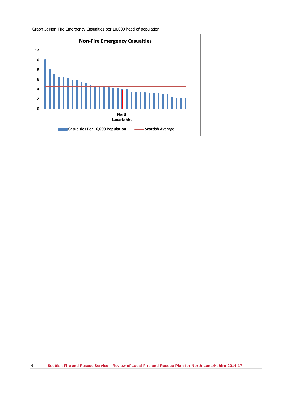

Graph 5: Non-Fire Emergency Casualties per 10,000 head of population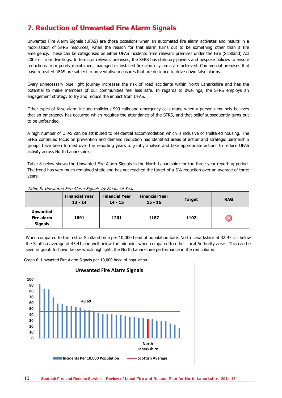### **7. Reduction of Unwanted Fire Alarm Signals**

Unwanted Fire Alarm Signals (UFAS) are those occasions when an automated fire alarm activates and results in a mobilisation of SFRS resources, when the reason for that alarm turns out to be something other than a fire emergency. These can be categorised as either UFAS incidents from relevant premises under the Fire (Scotland) Act 2005 or from dwellings. In terms of relevant premises, the SFRS has statutory powers and bespoke policies to ensure reductions from poorly maintained, managed or installed fire alarm systems are achieved. Commercial premises that have repeated UFAS are subject to preventative measures that are designed to drive down false alarms.

Every unnecessary blue light journey increases the risk of road accidents within North Lanarkshire and has the potential to make members of our communities feel less safe. In regards to dwellings, the SFRS employs an engagement strategy to try and reduce the impact from UFAS.

Other types of false alarm include malicious 999 calls and emergency calls made when a person genuinely believes that an emergency has occurred which requires the attendance of the SFRS, and that belief subsequently turns out to be unfounded.

A high number of UFAS can be attributed to residential accommodation which is inclusive of sheltered housing. The SFRS continued focus on prevention and demand reduction has identified areas of action and strategic partnership groups have been formed over the reporting years to jointly analyse and take appropriate actions to reduce UFAS activity across North Lanarkshire.

Table 8 below shows the Unwanted Fire Alarm Signals in the North Lanarkshire for the three year reporting period. The trend has very much remained static and has not reached the target of a 5% reduction over an average of three years.

|                                                 | <b>Financial Year</b><br>$13 - 14$ | <b>Financial Year</b><br>$14 - 15$ | <b>Financial Year</b><br>$15 - 16$ | <b>Target</b> | <b>RAG</b> |
|-------------------------------------------------|------------------------------------|------------------------------------|------------------------------------|---------------|------------|
| <b>Unwanted</b><br>Fire alarm<br><b>Signals</b> | 1091                               | 1201                               | 1187                               | 1102          |            |

Table 8: Unwanted Fire Alarm Signals by Financial Year

When compared to the rest of Scotland on a per 10,000 head of population basis North Lanarkshire at 32.97 sit below the Scottish average of 45.41 and well below the midpoint when compared to other Local Authority areas. This can be seen in graph 6 shown below which highlights the North Lanarkshire performance in the red column.

Graph 6: Unwanted Fire Alarm Signals per 10,000 head of population

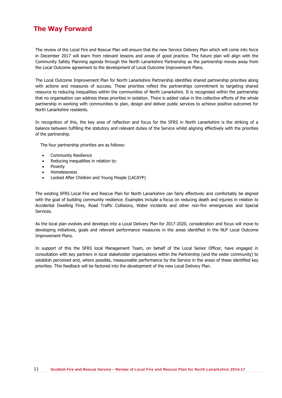#### **The Way Forward**

The review of the Local Fire and Rescue Plan will ensure that the new Service Delivery Plan which will come into force in December 2017 will learn from relevant lessons and areas of good practice. The future plan will align with the Community Safety Planning agenda through the North Lanarkshire Partnership as the partnership moves away from the Local Outcome agreement to the development of Local Outcome Improvement Plans.

The Local Outcome Improvement Plan for North Lanarkshire Partnership identifies shared partnership priorities along with actions and measures of success. These priorities reflect the partnerships commitment to targeting shared resource to reducing inequalities within the communities of North Lanarkshire. It is recognised within the partnership that no organisation can address these priorities in isolation. There is added value in the collective efforts of the whole partnership in working with communities to plan, design and deliver public services to achieve positive outcomes for North Lanarkshire residents.

In recognition of this, the key area of reflection and focus for the SFRS in North Lanarkshire is the striking of a balance between fulfilling the statutory and relevant duties of the Service whilst aligning effectively with the priorities of the partnership.

The four partnership priorities are as follows:

- Community Resilience
- Reducing inequalities in relation to:
- Poverty
- Homelessness
- Looked After Children and Young People (LACAYP)

The existing SFRS Local Fire and Rescue Plan for North Lanarkshire can fairly effectively and comfortably be aligned with the goal of building community resilience. Examples include a focus on reducing death and injuries in relation to Accidental Dwelling Fires, Road Traffic Collisions, Water incidents and other non-fire emergencies and Special Services.

As the local plan evolves and develops into a Local Delivery Plan for 2017-2020, consideration and focus will move to developing initiatives, goals and relevant performance measures in the areas identified in the NLP Local Outcome Improvement Plans.

In support of this the SFRS local Management Team, on behalf of the Local Senior Officer, have engaged in consultation with key partners in local stakeholder organisations within the Partnership (and the wider community) to establish perceived and, where possible, measureable performance by the Service in the areas of these identified key priorities. This feedback will be factored into the development of the new Local Delivery Plan.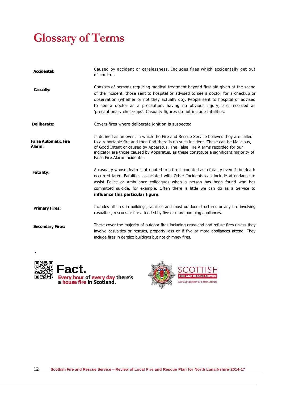# **Glossary of Terms**

| <b>Accidental:</b>                    | Caused by accident or carelessness. Includes fires which accidentally get out<br>of control.                                                                                                                                                                                                                                                                                                                            |
|---------------------------------------|-------------------------------------------------------------------------------------------------------------------------------------------------------------------------------------------------------------------------------------------------------------------------------------------------------------------------------------------------------------------------------------------------------------------------|
| Casualty:                             | Consists of persons requiring medical treatment beyond first aid given at the scene<br>of the incident, those sent to hospital or advised to see a doctor for a checkup or<br>observation (whether or not they actually do). People sent to hospital or advised<br>to see a doctor as a precaution, having no obvious injury, are recorded as<br>'precautionary check-ups'. Casualty figures do not include fatalities. |
| <b>Deliberate:</b>                    | Covers fires where deliberate ignition is suspected                                                                                                                                                                                                                                                                                                                                                                     |
| <b>False Automatic Fire</b><br>Alarm: | Is defined as an event in which the Fire and Rescue Service believes they are called<br>to a reportable fire and then find there is no such incident. These can be Malicious,<br>of Good Intent or caused by Apparatus. The False Fire Alarms recorded for our<br>indicator are those caused by Apparatus, as these constitute a significant majority of<br>False Fire Alarm incidents.                                 |
| <b>Fatality:</b>                      | A casualty whose death is attributed to a fire is counted as a fatality even if the death<br>occurred later. Fatalities associated with Other Incidents can include attendance to<br>assist Police or Ambulance colleagues when a person has been found who has<br>committed suicide, for example. Often there is little we can do as a Service to<br>influence this particular figure.                                 |
| <b>Primary Fires:</b>                 | Includes all fires in buildings, vehicles and most outdoor structures or any fire involving<br>casualties, rescues or fire attended by five or more pumping appliances.                                                                                                                                                                                                                                                 |
| <b>Secondary Fires:</b>               | These cover the majority of outdoor fires including grassland and refuse fires unless they<br>involve casualties or rescues, property loss or if five or more appliances attend. They<br>include fires in derelict buildings but not chimney fires.                                                                                                                                                                     |



**.**